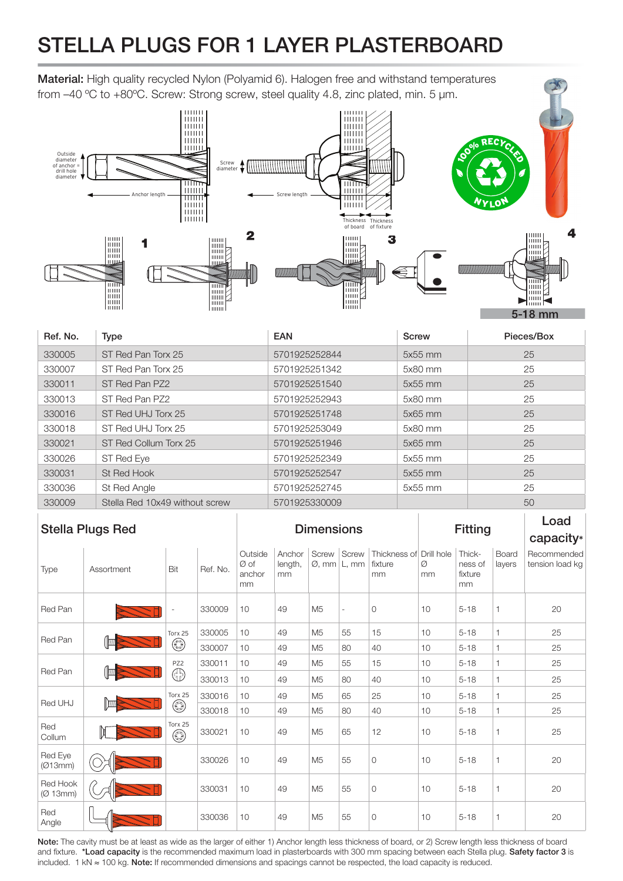## STELLA PLUGS FOR 1 LAYER PLASTERBOARD

Material: High quality recycled Nylon (Polyamid 6). Halogen free and withstand temperatures from –40 ºC to +80ºC. Screw: Strong screw, steel quality 4.8, zinc plated, min. 5 µm.



| Ref. No. | <b>Type</b>                    | <b>EAN</b>    | <b>Screw</b> | Pieces/Box |
|----------|--------------------------------|---------------|--------------|------------|
| 330005   | ST Red Pan Torx 25             | 5701925252844 | 5x55 mm      | 25         |
| 330007   | ST Red Pan Torx 25             | 5701925251342 | 5x80 mm      | 25         |
| 330011   | ST Red Pan PZ2                 | 5701925251540 | $5x55$ mm    | 25         |
| 330013   | ST Red Pan PZ2                 | 5701925252943 | 5x80 mm      | 25         |
| 330016   | ST Red UHJ Torx 25             | 5701925251748 | 5x65 mm      | 25         |
| 330018   | ST Red UHJ Torx 25             | 5701925253049 | 5x80 mm      | 25         |
| 330021   | ST Red Collum Torx 25          | 5701925251946 | 5x65 mm      | 25         |
| 330026   | ST Red Eye                     | 5701925252349 | 5x55 mm      | 25         |
| 330031   | St Red Hook                    | 5701925252547 | $5x55$ mm    | 25         |
| 330036   | St Red Angle                   | 5701925252745 | 5x55 mm      | 25         |
| 330009   | Stella Red 10x49 without screw | 5701925330009 |              | 50         |

| <b>Stella Plugs Red</b> |            |                        |          | <b>Dimensions</b>               |                         |                |                                                    | <b>Fitting</b>                           |         |                                    | Load<br>capacity* |                                |
|-------------------------|------------|------------------------|----------|---------------------------------|-------------------------|----------------|----------------------------------------------------|------------------------------------------|---------|------------------------------------|-------------------|--------------------------------|
| Type                    | Assortment | Bit                    | Ref. No. | Outside<br>Ø of<br>anchor<br>mm | Anchor<br>length,<br>mm |                | Screw Screw<br>$\varnothing$ , mm $\lfloor L$ , mm | Thickness of Drill hole<br>fixture<br>mm | Ø<br>mm | Thick-<br>ness of<br>fixture<br>mm | Board<br>layers   | Recommended<br>tension load kg |
| Red Pan                 |            |                        | 330009   | 10                              | 49                      | M <sub>5</sub> | $\overline{\phantom{a}}$                           | $\circ$                                  | 10      | $5 - 18$                           | 1                 | 20                             |
| Red Pan                 |            | Torx 25<br>٨           | 330005   | 10                              | 49                      | M <sub>5</sub> | 55                                                 | 15                                       | 10      | $5 - 18$                           | $\mathbf{1}$      | 25                             |
|                         |            |                        | 330007   | 10                              | 49                      | M <sub>5</sub> | 80                                                 | 40                                       | 10      | $5 - 18$                           | 1                 | 25                             |
| Red Pan                 |            | PZ2<br>⊕               | 330011   | 10                              | 49                      | M <sub>5</sub> | 55                                                 | 15                                       | 10      | $5 - 18$                           | 1                 | 25                             |
|                         |            |                        | 330013   | 10                              | 49                      | M <sub>5</sub> | 80                                                 | 40                                       | 10      | $5 - 18$                           | $\mathbf{1}$      | 25                             |
| Red UHJ                 |            | Torx 25<br>O)          | 330016   | 10                              | 49                      | M <sub>5</sub> | 65                                                 | 25                                       | 10      | $5 - 18$                           | 1                 | 25                             |
|                         |            |                        | 330018   | 10                              | 49                      | M <sub>5</sub> | 80                                                 | 40                                       | 10      | $5 - 18$                           | 1                 | 25                             |
| Red<br>Collum           |            | Torx 25<br>$\circledS$ | 330021   | 10                              | 49                      | M <sub>5</sub> | 65                                                 | 12                                       | 10      | $5 - 18$                           | 1                 | 25                             |
| Red Eye<br>(Ø13mm)      |            |                        | 330026   | 10                              | 49                      | M <sub>5</sub> | 55                                                 | $\circ$                                  | 10      | $5 - 18$                           | 1                 | 20                             |
| Red Hook<br>(Ø 13mm)    |            |                        | 330031   | 10                              | 49                      | M <sub>5</sub> | 55                                                 | $\circ$                                  | 10      | $5 - 18$                           | 1                 | 20                             |
| Red<br>Angle            |            |                        | 330036   | 10                              | 49                      | M <sub>5</sub> | 55                                                 | $\circ$                                  | 10      | $5 - 18$                           | 1                 | 20                             |

Note: The cavity must be at least as wide as the larger of either 1) Anchor length less thickness of board, or 2) Screw length less thickness of board and fixture. \*Load capacity is the recommended maximum load in plasterboards with 300 mm spacing between each Stella plug. Safety factor 3 is included. 1 kN ≈ 100 kg. Note: If recommended dimensions and spacings cannot be respected, the load capacity is reduced.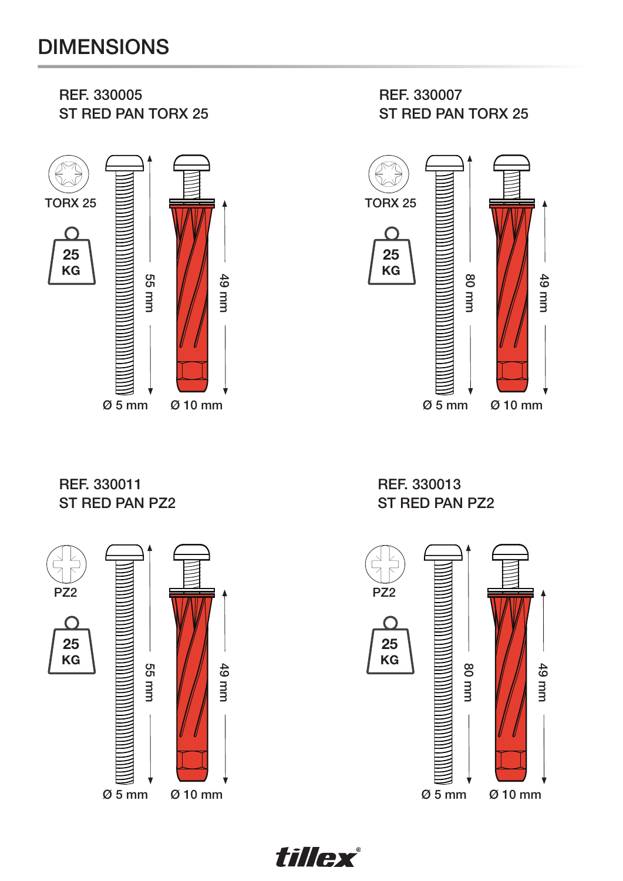

REF. 330011 ST RED PAN PZ2



REF. 330013 ST RED PAN PZ2 49 mm



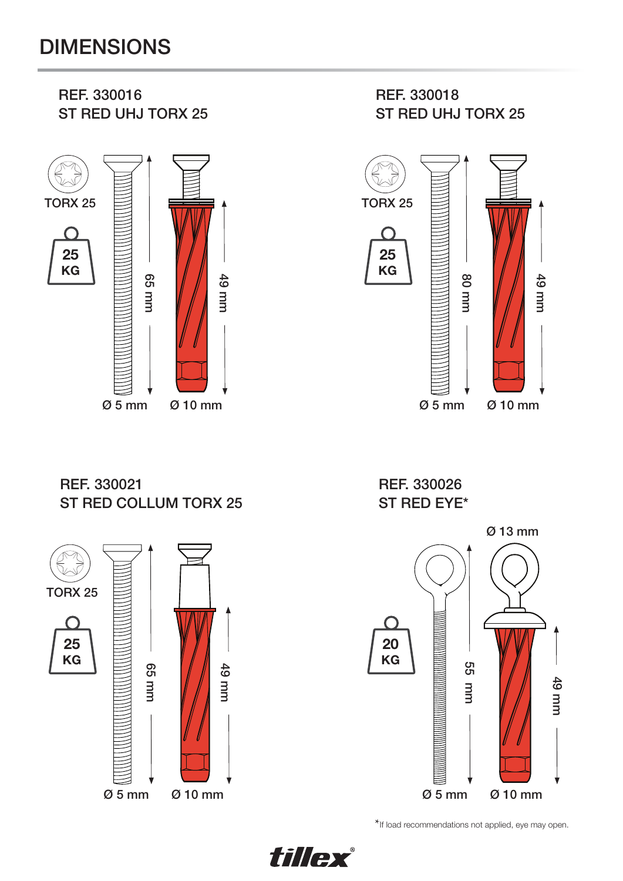## DIMENSIONS



REF. 330021 ST RED COLLUM TORX 25



REF. 330026 ST RED EYE\*



\*If load recommendations not applied, eye may open.